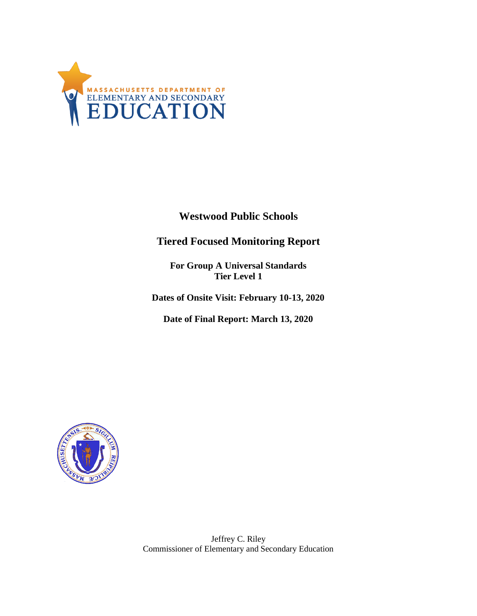

**Westwood Public Schools**

**Tiered Focused Monitoring Report**

**For Group A Universal Standards Tier Level 1**

**Dates of Onsite Visit: February 10-13, 2020**

**Date of Final Report: March 13, 2020**



Jeffrey C. Riley Commissioner of Elementary and Secondary Education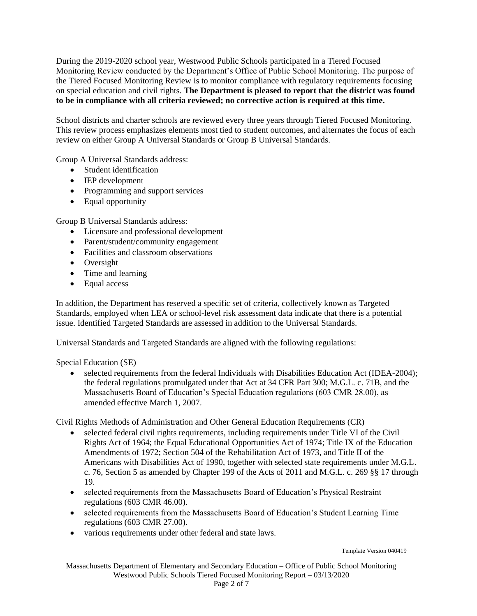During the 2019-2020 school year, Westwood Public Schools participated in a Tiered Focused Monitoring Review conducted by the Department's Office of Public School Monitoring. The purpose of the Tiered Focused Monitoring Review is to monitor compliance with regulatory requirements focusing on special education and civil rights. **The Department is pleased to report that the district was found to be in compliance with all criteria reviewed; no corrective action is required at this time.**

School districts and charter schools are reviewed every three years through Tiered Focused Monitoring. This review process emphasizes elements most tied to student outcomes, and alternates the focus of each review on either Group A Universal Standards or Group B Universal Standards.

Group A Universal Standards address:

- Student identification
- IEP development
- Programming and support services
- Equal opportunity

Group B Universal Standards address:

- Licensure and professional development
- Parent/student/community engagement
- Facilities and classroom observations
- Oversight
- Time and learning
- Equal access

In addition, the Department has reserved a specific set of criteria, collectively known as Targeted Standards, employed when LEA or school-level risk assessment data indicate that there is a potential issue. Identified Targeted Standards are assessed in addition to the Universal Standards.

Universal Standards and Targeted Standards are aligned with the following regulations:

Special Education (SE)

• selected requirements from the federal Individuals with Disabilities Education Act (IDEA-2004); the federal regulations promulgated under that Act at 34 CFR Part 300; M.G.L. c. 71B, and the Massachusetts Board of Education's Special Education regulations (603 CMR 28.00), as amended effective March 1, 2007.

Civil Rights Methods of Administration and Other General Education Requirements (CR)

- selected federal civil rights requirements, including requirements under Title VI of the Civil Rights Act of 1964; the Equal Educational Opportunities Act of 1974; Title IX of the Education Amendments of 1972; Section 504 of the Rehabilitation Act of 1973, and Title II of the Americans with Disabilities Act of 1990, together with selected state requirements under M.G.L. c. 76, Section 5 as amended by Chapter 199 of the Acts of 2011 and M.G.L. c. 269 §§ 17 through 19.
- selected requirements from the Massachusetts Board of Education's Physical Restraint regulations (603 CMR 46.00).
- selected requirements from the Massachusetts Board of Education's Student Learning Time regulations (603 CMR 27.00).
- various requirements under other federal and state laws.

Template Version 040419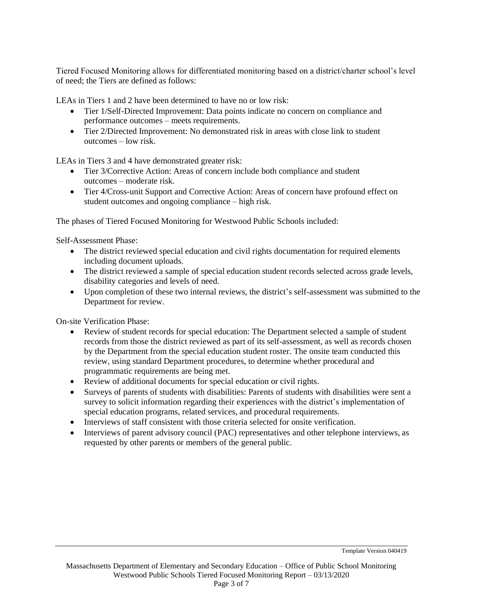Tiered Focused Monitoring allows for differentiated monitoring based on a district/charter school's level of need; the Tiers are defined as follows:

LEAs in Tiers 1 and 2 have been determined to have no or low risk:

- Tier 1/Self-Directed Improvement: Data points indicate no concern on compliance and performance outcomes – meets requirements.
- Tier 2/Directed Improvement: No demonstrated risk in areas with close link to student outcomes – low risk.

LEAs in Tiers 3 and 4 have demonstrated greater risk:

- Tier 3/Corrective Action: Areas of concern include both compliance and student outcomes – moderate risk.
- Tier 4/Cross-unit Support and Corrective Action: Areas of concern have profound effect on student outcomes and ongoing compliance – high risk.

The phases of Tiered Focused Monitoring for Westwood Public Schools included:

Self-Assessment Phase:

- The district reviewed special education and civil rights documentation for required elements including document uploads.
- The district reviewed a sample of special education student records selected across grade levels, disability categories and levels of need.
- Upon completion of these two internal reviews, the district's self-assessment was submitted to the Department for review.

On-site Verification Phase:

- Review of student records for special education: The Department selected a sample of student records from those the district reviewed as part of its self-assessment, as well as records chosen by the Department from the special education student roster. The onsite team conducted this review, using standard Department procedures, to determine whether procedural and programmatic requirements are being met.
- Review of additional documents for special education or civil rights.
- Surveys of parents of students with disabilities: Parents of students with disabilities were sent a survey to solicit information regarding their experiences with the district's implementation of special education programs, related services, and procedural requirements.
- Interviews of staff consistent with those criteria selected for onsite verification.
- Interviews of parent advisory council (PAC) representatives and other telephone interviews, as requested by other parents or members of the general public.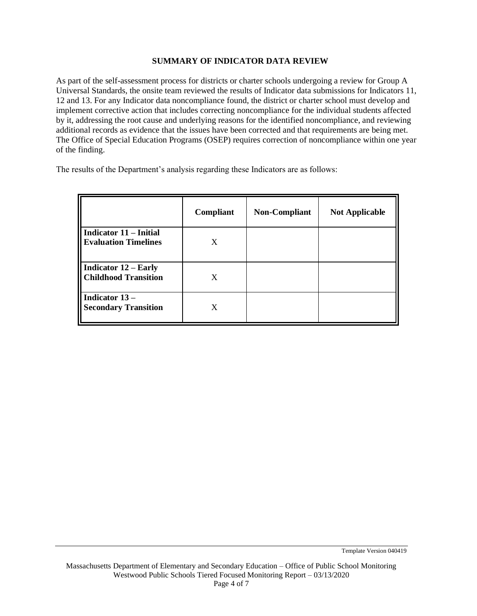#### **SUMMARY OF INDICATOR DATA REVIEW**

As part of the self-assessment process for districts or charter schools undergoing a review for Group A Universal Standards, the onsite team reviewed the results of Indicator data submissions for Indicators 11, 12 and 13. For any Indicator data noncompliance found, the district or charter school must develop and implement corrective action that includes correcting noncompliance for the individual students affected by it, addressing the root cause and underlying reasons for the identified noncompliance, and reviewing additional records as evidence that the issues have been corrected and that requirements are being met. The Office of Special Education Programs (OSEP) requires correction of noncompliance within one year of the finding.

The results of the Department's analysis regarding these Indicators are as follows:

|                                                            | Compliant | <b>Non-Compliant</b> | <b>Not Applicable</b> |
|------------------------------------------------------------|-----------|----------------------|-----------------------|
| Indicator 11 – Initial<br><b>Evaluation Timelines</b>      | X         |                      |                       |
| <b>Indicator 12 – Early</b><br><b>Childhood Transition</b> | X         |                      |                       |
| Indicator 13-<br><b>Secondary Transition</b>               | X         |                      |                       |

Template Version 040419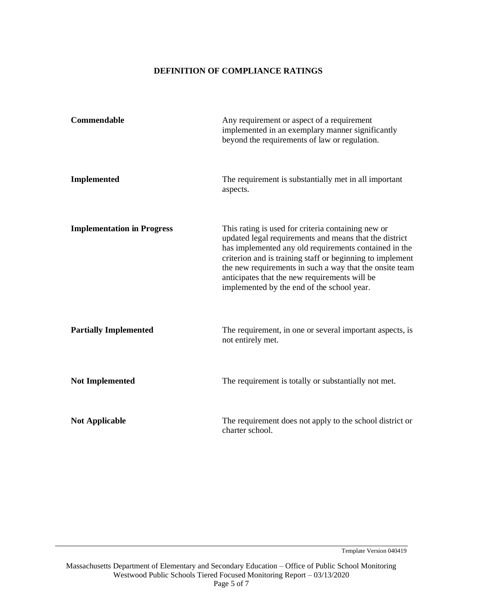### **DEFINITION OF COMPLIANCE RATINGS**

| Commendable                       | Any requirement or aspect of a requirement<br>implemented in an exemplary manner significantly<br>beyond the requirements of law or regulation.                                                                                                                                                                                                                                              |  |
|-----------------------------------|----------------------------------------------------------------------------------------------------------------------------------------------------------------------------------------------------------------------------------------------------------------------------------------------------------------------------------------------------------------------------------------------|--|
| Implemented                       | The requirement is substantially met in all important<br>aspects.                                                                                                                                                                                                                                                                                                                            |  |
| <b>Implementation in Progress</b> | This rating is used for criteria containing new or<br>updated legal requirements and means that the district<br>has implemented any old requirements contained in the<br>criterion and is training staff or beginning to implement<br>the new requirements in such a way that the onsite team<br>anticipates that the new requirements will be<br>implemented by the end of the school year. |  |
| <b>Partially Implemented</b>      | The requirement, in one or several important aspects, is<br>not entirely met.                                                                                                                                                                                                                                                                                                                |  |
| <b>Not Implemented</b>            | The requirement is totally or substantially not met.                                                                                                                                                                                                                                                                                                                                         |  |
| <b>Not Applicable</b>             | The requirement does not apply to the school district or<br>charter school.                                                                                                                                                                                                                                                                                                                  |  |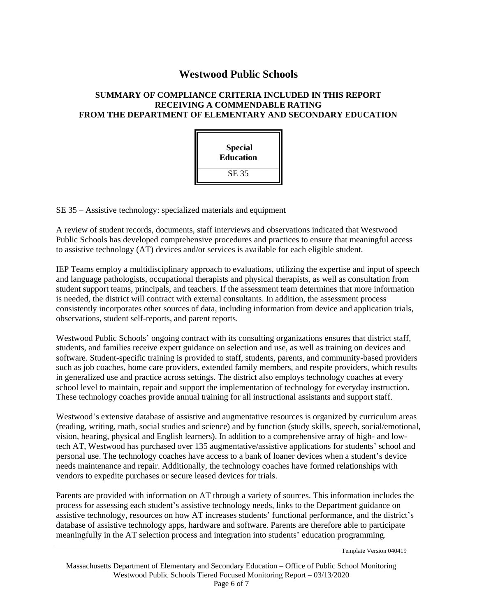# **Westwood Public Schools**

### **SUMMARY OF COMPLIANCE CRITERIA INCLUDED IN THIS REPORT RECEIVING A COMMENDABLE RATING FROM THE DEPARTMENT OF ELEMENTARY AND SECONDARY EDUCATION**

| <b>Special</b><br><b>Education</b> |  |
|------------------------------------|--|
| <b>SE 35</b>                       |  |

SE 35 – Assistive technology: specialized materials and equipment

A review of student records, documents, staff interviews and observations indicated that Westwood Public Schools has developed comprehensive procedures and practices to ensure that meaningful access to assistive technology (AT) devices and/or services is available for each eligible student.

IEP Teams employ a multidisciplinary approach to evaluations, utilizing the expertise and input of speech and language pathologists, occupational therapists and physical therapists, as well as consultation from student support teams, principals, and teachers. If the assessment team determines that more information is needed, the district will contract with external consultants. In addition, the assessment process consistently incorporates other sources of data, including information from device and application trials, observations, student self-reports, and parent reports.

Westwood Public Schools' ongoing contract with its consulting organizations ensures that district staff, students, and families receive expert guidance on selection and use, as well as training on devices and software. Student-specific training is provided to staff, students, parents, and community-based providers such as job coaches, home care providers, extended family members, and respite providers, which results in generalized use and practice across settings. The district also employs technology coaches at every school level to maintain, repair and support the implementation of technology for everyday instruction. These technology coaches provide annual training for all instructional assistants and support staff.

Westwood's extensive database of assistive and augmentative resources is organized by curriculum areas (reading, writing, math, social studies and science) and by function (study skills, speech, social/emotional, vision, hearing, physical and English learners). In addition to a comprehensive array of high- and lowtech AT, Westwood has purchased over 135 augmentative/assistive applications for students' school and personal use. The technology coaches have access to a bank of loaner devices when a student's device needs maintenance and repair. Additionally, the technology coaches have formed relationships with vendors to expedite purchases or secure leased devices for trials.

Parents are provided with information on AT through a variety of sources. This information includes the process for assessing each student's assistive technology needs, links to the Department guidance on assistive technology, resources on how AT increases students' functional performance, and the district's database of assistive technology apps, hardware and software. Parents are therefore able to participate meaningfully in the AT selection process and integration into students' education programming.

Template Version 040419